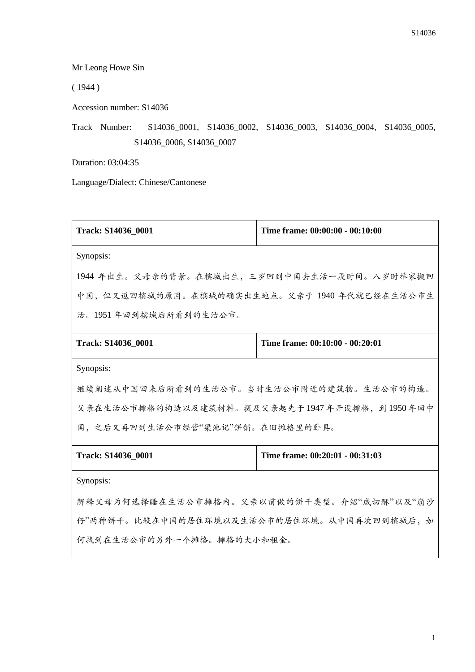Mr Leong Howe Sin

( 1944 )

Accession number: S14036

Track Number: S14036\_0001, S14036\_0002, S14036\_0003, S14036\_0004, S14036\_0005, S14036\_0006, S14036\_0007

Duration: 03:04:35

Language/Dialect: Chinese/Cantonese

| Track: S14036_0001                           | Time frame: 00:00:00 - 00:10:00 |  |
|----------------------------------------------|---------------------------------|--|
| Synopsis:                                    |                                 |  |
| 1944 年出生。父母亲的背景。在槟城出生,三岁回到中国去生活一段时间。八岁时举家搬回  |                                 |  |
| 中国,但又返回槟城的原因。在槟城的确实出生地点。父亲于 1940 年代就已经在生活公市生 |                                 |  |
| 活。1951年回到槟城后所看到的生活公市。                        |                                 |  |
| Track: S14036 0001                           | Time frame: 00:10:00 - 00:20:01 |  |
| Synopsis:                                    |                                 |  |
| 继续阐述从中国回来后所看到的生活公市。当时生活公市附近的建筑物。生活公市的构造。     |                                 |  |
| 父亲在生活公市摊格的构造以及建筑材料。提及父亲起先于1947年开设摊格,到1950年回中 |                                 |  |
| 国,之后又再回到生活公市经营"梁池记"饼铺。在旧摊格里的卧具。              |                                 |  |
| Track: S14036 0001                           | Time frame: 00:20:01 - 00:31:03 |  |
| Synopsis:                                    |                                 |  |
| 解释父母为何选择睡在生活公市摊格内。父亲以前做的饼干类型。介绍"咸切酥"以及"崩沙    |                                 |  |
| 仔"两种饼干。比较在中国的居住环境以及生活公市的居住环境。从中国再次回到槟城后,如    |                                 |  |

何找到在生活公市的另外一个摊格。摊格的大小和租金。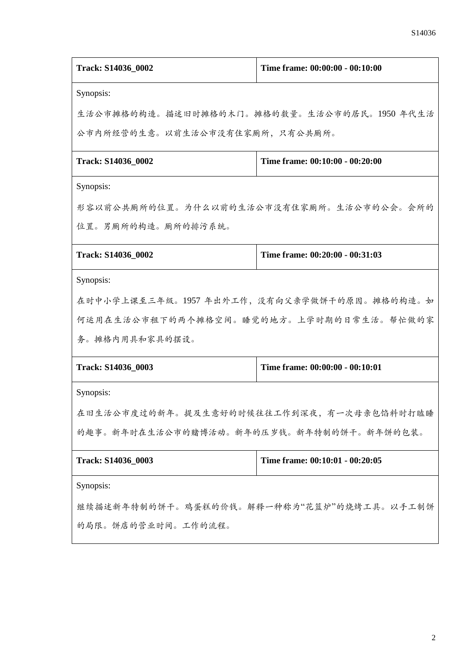| Track: S14036_0002                         | Time frame: 00:00:00 - 00:10:00 |  |
|--------------------------------------------|---------------------------------|--|
| Synopsis:                                  |                                 |  |
| 生活公市摊格的构造。描述旧时摊格的木门。摊格的数量。生活公市的居民。1950年代生活 |                                 |  |
| 公市内所经营的生意。以前生活公市没有住家厕所,只有公共厕所。             |                                 |  |
| Track: S14036_0002                         | Time frame: 00:10:00 - 00:20:00 |  |
| Synopsis:                                  |                                 |  |
| 形容以前公共厕所的位置。为什么以前的生活公市没有住家厕所。生活公市的公会。会所的   |                                 |  |
| 位置。男厕所的构造。厕所的排污系统。                         |                                 |  |
| Track: S14036_0002                         | Time frame: 00:20:00 - 00:31:03 |  |
| Synopsis:                                  |                                 |  |
| 在时中小学上课至三年级。1957年出外工作,没有向父亲学做饼干的原因。摊格的构造。如 |                                 |  |
| 何运用在生活公市租下的两个摊格空间。睡觉的地方。上学时期的日常生活。帮忙做的家    |                                 |  |
| 务。摊格内用具和家具的摆设。                             |                                 |  |
| Track: S14036_0003                         | Time frame: 00:00:00 - 00:10:01 |  |
| Synopsis:                                  |                                 |  |
| 在旧生活公市度过的新年。提及生意好的时候往往工作到深夜,有一次母亲包馅料时打瞌睡   |                                 |  |
| 的趣事。新年时在生活公市的赌博活动。新年的压岁钱。新年特制的饼干。新年饼的包装。   |                                 |  |
| Track: S14036_0003                         | Time frame: 00:10:01 - 00:20:05 |  |
| Synopsis:                                  |                                 |  |
| 继续描述新年特制的饼干。鸡蛋糕的价钱。解释一种称为"花篮炉"的烧烤工具。以手工制饼  |                                 |  |
| 的局限。饼店的营业时间。工作的流程。                         |                                 |  |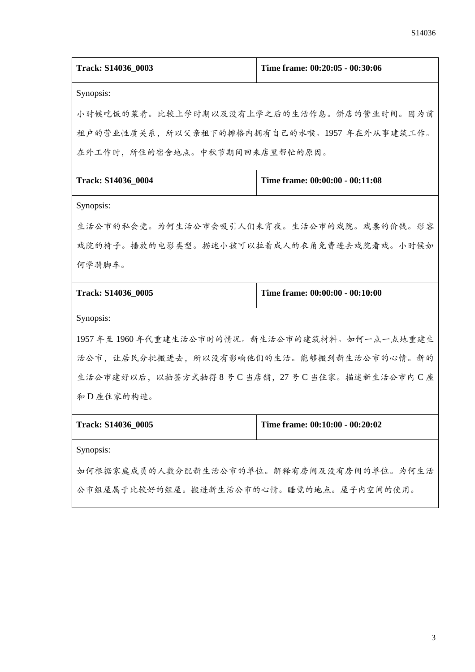| Track: S14036_0003                                    | Time frame: 00:20:05 - 00:30:06 |  |
|-------------------------------------------------------|---------------------------------|--|
| Synopsis:                                             |                                 |  |
| 小时候吃饭的菜肴。比较上学时期以及没有上学之后的生活作息。饼店的营业时间。因为前              |                                 |  |
| 租户的营业性质关系,所以父亲租下的摊格内拥有自己的水喉。1957 年在外从事建筑工作。           |                                 |  |
| 在外工作时,所住的宿舍地点。中秋节期间回来店里帮忙的原因。                         |                                 |  |
| Track: S14036_0004                                    | Time frame: 00:00:00 - 00:11:08 |  |
| Synopsis:                                             |                                 |  |
| 生活公市的私会党。为何生活公市会吸引人们来宵夜。生活公市的戏院。戏票的价钱。形容              |                                 |  |
| 戏院的椅子。播放的电影类型。描述小孩可以拉着成人的衣角免费进去戏院看戏。小时候如              |                                 |  |
| 何学骑脚车。                                                |                                 |  |
| Time frame: 00:00:00 - 00:10:00<br>Track: S14036_0005 |                                 |  |
| Synopsis:                                             |                                 |  |
| 1957年至1960年代重建生活公市时的情况。新生活公市的建筑材料。如何一点一点地重建生          |                                 |  |
| 活公市,让居民分批搬进去,所以没有影响他们的生活。能够搬到新生活公市的心情。新的              |                                 |  |
| 生活公市建好以后,以抽签方式抽得8号C当店铺,27号C当住家。描述新生活公市内C座             |                                 |  |
| 和D座住家的构造。                                             |                                 |  |
| Track: S14036_0005                                    | Time frame: 00:10:00 - 00:20:02 |  |
| Synopsis:                                             |                                 |  |
| 如何根据家庭成员的人数分配新生活公市的单位。解释有房间及没有房间的单位。为何生活              |                                 |  |
| 公市组屋属于比较好的组屋。搬进新生活公市的心情。睡觉的地点。屋子内空间的使用。               |                                 |  |
|                                                       |                                 |  |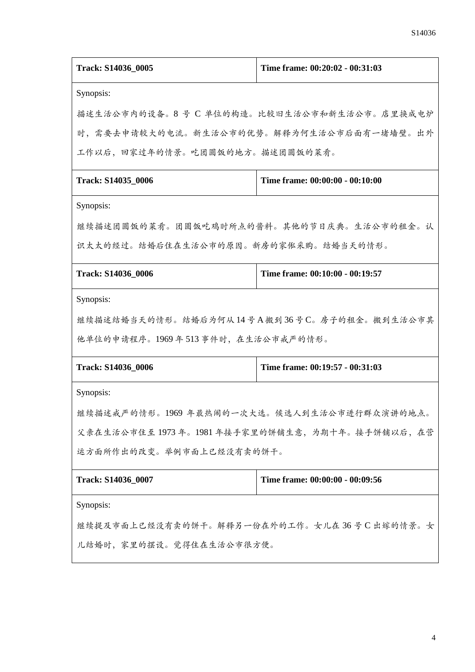| Track: S14036_0005                           | Time frame: 00:20:02 - 00:31:03 |  |
|----------------------------------------------|---------------------------------|--|
| Synopsis:                                    |                                 |  |
| 描述生活公市内的设备。8号 C 单位的构造。比较旧生活公市和新生活公市。店里换成电炉   |                                 |  |
| 时,需要去申请较大的电流。新生活公市的优势。解释为何生活公市后面有一堵墙壁。出外     |                                 |  |
| 工作以后,回家过年的情景。吃团圆饭的地方。描述团圆饭的菜肴。               |                                 |  |
| Track: S14035_0006                           | Time frame: 00:00:00 - 00:10:00 |  |
| Synopsis:                                    |                                 |  |
| 继续描述团圆饭的菜肴。团圆饭吃鸡时所点的酱料。其他的节日庆典。生活公市的租金。认     |                                 |  |
| 识太太的经过。结婚后住在生活公市的原因。新房的家俬采购。结婚当天的情形。         |                                 |  |
| Track: S14036_0006                           | Time frame: 00:10:00 - 00:19:57 |  |
| Synopsis:                                    |                                 |  |
| 继续描述结婚当天的情形。结婚后为何从14号A搬到36号C。房子的租金。搬到生活公市其   |                                 |  |
| 他单位的申请程序。1969年513事件时,在生活公市戒严的情形。             |                                 |  |
| Track: S14036_0006                           | Time frame: 00:19:57 - 00:31:03 |  |
| Synopsis:                                    |                                 |  |
| 继续描述戒严的情形。1969年最热闹的一次大选。候选人到生活公市进行群众演讲的地点。   |                                 |  |
| 父亲在生活公市住至1973年。1981年接手家里的饼铺生意,为期十年。接手饼铺以后,在营 |                                 |  |
| 运方面所作出的改变。举例市面上已经没有卖的饼干。                     |                                 |  |
| Track: S14036_0007                           | Time frame: 00:00:00 - 00:09:56 |  |
| Synopsis:                                    |                                 |  |
| 继续提及市面上已经没有卖的饼干。解释另一份在外的工作。女儿在36号 C 出嫁的情景。女  |                                 |  |
| 儿结婚时,家里的摆设。觉得住在生活公市很方便。                      |                                 |  |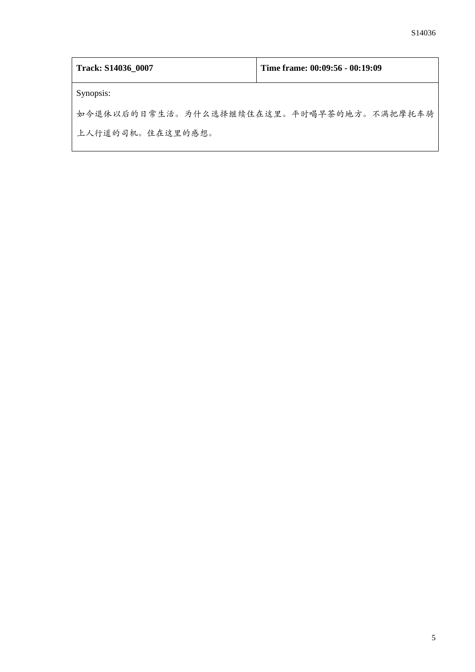| Track: S14036_0007                       | Time frame: 00:09:56 - 00:19:09 |
|------------------------------------------|---------------------------------|
| Synopsis:                                |                                 |
| 如今退休以后的日常生活。为什么选择继续住在这里。平时喝早茶的地方。不满把摩托车骑 |                                 |
| 上人行道的司机。住在这里的感想。                         |                                 |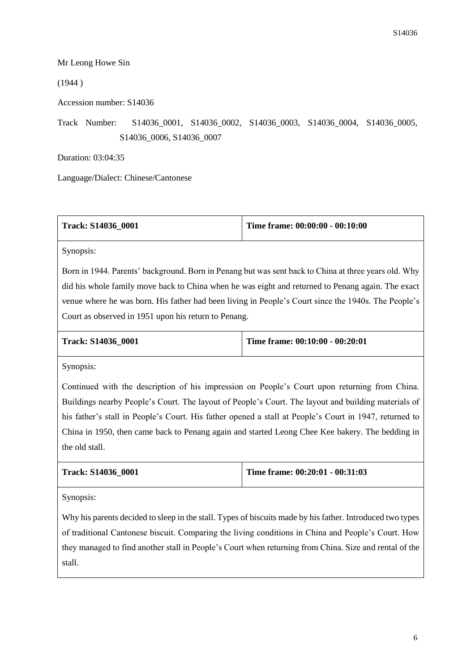## Mr Leong Howe Sin

(1944 )

Accession number: S14036

Track Number: S14036\_0001, S14036\_0002, S14036\_0003, S14036\_0004, S14036\_0005, S14036\_0006, S14036\_0007

Duration: 03:04:35

Language/Dialect: Chinese/Cantonese

| Track: S14036 0001 | Time frame: $00:00:00 - 00:10:00$ |
|--------------------|-----------------------------------|
|                    |                                   |

Synopsis:

Born in 1944. Parents' background. Born in Penang but was sent back to China at three years old. Why did his whole family move back to China when he was eight and returned to Penang again. The exact venue where he was born. His father had been living in People's Court since the 1940s. The People's Court as observed in 1951 upon his return to Penang.

| Track: S14036 0001 |  |
|--------------------|--|
|--------------------|--|

**Time frame: 00:10:00 - 00:20:01** 

Synopsis:

Continued with the description of his impression on People's Court upon returning from China. Buildings nearby People's Court. The layout of People's Court. The layout and building materials of his father's stall in People's Court. His father opened a stall at People's Court in 1947, returned to China in 1950, then came back to Penang again and started Leong Chee Kee bakery. The bedding in the old stall.

| <b>Track: S14036 0001</b> | Time frame: $00:20:01 - 00:31:03$ |
|---------------------------|-----------------------------------|
|                           |                                   |

Synopsis:

Why his parents decided to sleep in the stall. Types of biscuits made by his father. Introduced two types of traditional Cantonese biscuit. Comparing the living conditions in China and People's Court. How they managed to find another stall in People's Court when returning from China. Size and rental of the stall.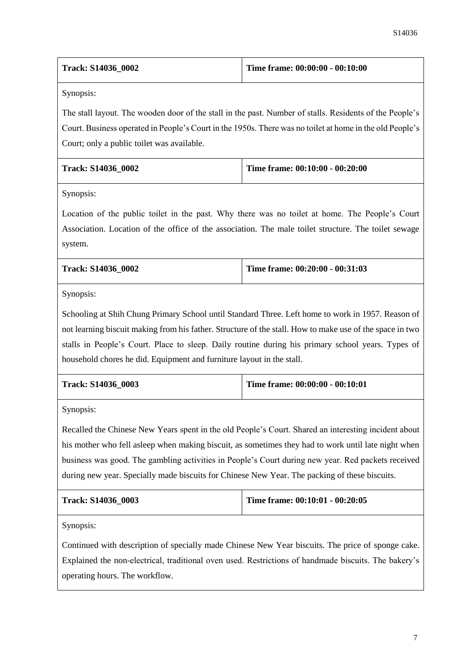| <b>Track: S14036 0002</b> | Time frame: 00:00:00 - 00:10:00 |
|---------------------------|---------------------------------|
|                           |                                 |

Synopsis:

The stall layout. The wooden door of the stall in the past. Number of stalls. Residents of the People's Court. Business operated in People's Court in the 1950s. There was no toilet at home in the old People's Court; only a public toilet was available.

| <b>Track: S14036 0002</b> | Time frame: $00:10:00 - 00:20:00$ |
|---------------------------|-----------------------------------|
|                           |                                   |

Synopsis:

Location of the public toilet in the past. Why there was no toilet at home. The People's Court Association. Location of the office of the association. The male toilet structure. The toilet sewage system.

| <b>Track: S14036 0002</b> | Time frame: 00:20:00 - 00:31:03 |
|---------------------------|---------------------------------|
|                           |                                 |

Synopsis:

Schooling at Shih Chung Primary School until Standard Three. Left home to work in 1957. Reason of not learning biscuit making from his father. Structure of the stall. How to make use of the space in two stalls in People's Court. Place to sleep. Daily routine during his primary school years. Types of household chores he did. Equipment and furniture layout in the stall.

| <b>Track: S14036 0003</b> | Time frame: $00:00:00 - 00:10:01$ |
|---------------------------|-----------------------------------|
|                           |                                   |

Synopsis:

Recalled the Chinese New Years spent in the old People's Court. Shared an interesting incident about his mother who fell asleep when making biscuit, as sometimes they had to work until late night when business was good. The gambling activities in People's Court during new year. Red packets received during new year. Specially made biscuits for Chinese New Year. The packing of these biscuits.

| <b>Track: S14036 0003</b> | Time frame: $00:10:01 - 00:20:05$ |
|---------------------------|-----------------------------------|
|                           |                                   |

Synopsis:

Continued with description of specially made Chinese New Year biscuits. The price of sponge cake. Explained the non-electrical, traditional oven used. Restrictions of handmade biscuits. The bakery's operating hours. The workflow.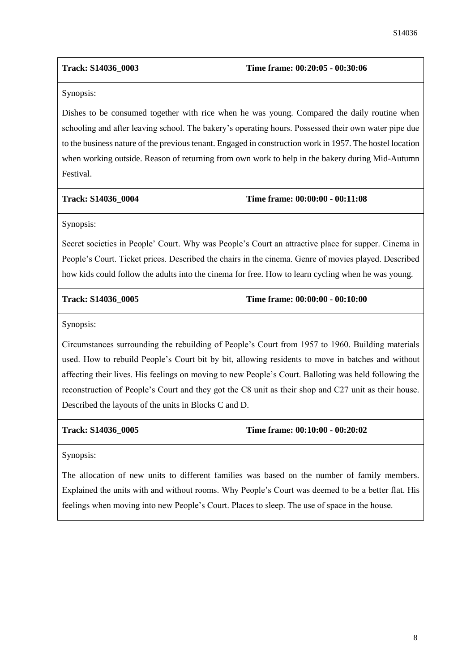| Time frame: $00:20:05 - 00:30:06$ |
|-----------------------------------|
|                                   |

Synopsis:

Dishes to be consumed together with rice when he was young. Compared the daily routine when schooling and after leaving school. The bakery's operating hours. Possessed their own water pipe due to the business nature of the previous tenant. Engaged in construction work in 1957. The hostel location when working outside. Reason of returning from own work to help in the bakery during Mid-Autumn Festival.

| <b>Track: S14036 0004</b> | Time frame: 00:00:00 - 00:11:08 |
|---------------------------|---------------------------------|
|---------------------------|---------------------------------|

Synopsis:

Secret societies in People' Court. Why was People's Court an attractive place for supper. Cinema in People's Court. Ticket prices. Described the chairs in the cinema. Genre of movies played. Described how kids could follow the adults into the cinema for free. How to learn cycling when he was young.

|  | Track: S14036 0005 |  |
|--|--------------------|--|
|--|--------------------|--|

**Time frame: 00:00:00 - 00:10:00** 

Synopsis:

Circumstances surrounding the rebuilding of People's Court from 1957 to 1960. Building materials used. How to rebuild People's Court bit by bit, allowing residents to move in batches and without affecting their lives. His feelings on moving to new People's Court. Balloting was held following the reconstruction of People's Court and they got the C8 unit as their shop and C27 unit as their house. Described the layouts of the units in Blocks C and D.

**Track: S14036\_0005 Time frame: 00:10:00 - 00:20:02**

Synopsis:

The allocation of new units to different families was based on the number of family members. Explained the units with and without rooms. Why People's Court was deemed to be a better flat. His feelings when moving into new People's Court. Places to sleep. The use of space in the house.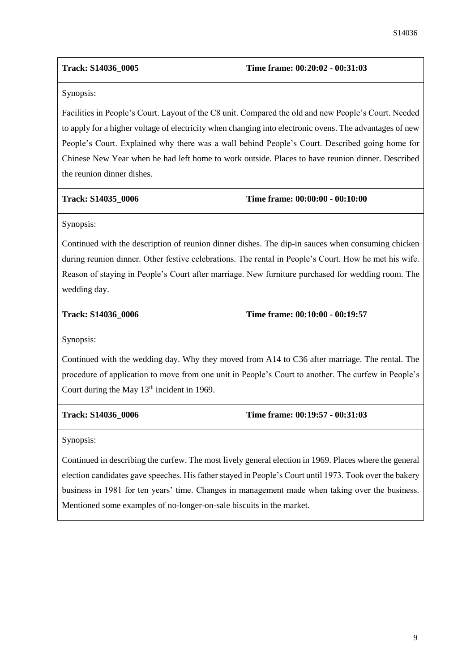| <b>Track: S14036 0005</b> | Time frame: 00:20:02 - 00:31:03 |
|---------------------------|---------------------------------|
|                           |                                 |

Synopsis:

Facilities in People's Court. Layout of the C8 unit. Compared the old and new People's Court. Needed to apply for a higher voltage of electricity when changing into electronic ovens. The advantages of new People's Court. Explained why there was a wall behind People's Court. Described going home for Chinese New Year when he had left home to work outside. Places to have reunion dinner. Described the reunion dinner dishes.

| <b>Track: S14035 0006</b> | Time frame: 00:00:00 - 00:10:00 |
|---------------------------|---------------------------------|
|---------------------------|---------------------------------|

Synopsis:

Continued with the description of reunion dinner dishes. The dip-in sauces when consuming chicken during reunion dinner. Other festive celebrations. The rental in People's Court. How he met his wife. Reason of staying in People's Court after marriage. New furniture purchased for wedding room. The wedding day.

|  | Track: S14036 0006 |  |
|--|--------------------|--|
|--|--------------------|--|

**Time frame: 00:10:00 - 00:19:57** 

Synopsis:

Continued with the wedding day. Why they moved from A14 to C36 after marriage. The rental. The procedure of application to move from one unit in People's Court to another. The curfew in People's Court during the May  $13<sup>th</sup>$  incident in 1969.

**Track: S14036\_0006 Time frame: 00:19:57 - 00:31:03**

Synopsis:

Continued in describing the curfew. The most lively general election in 1969. Places where the general election candidates gave speeches. His father stayed in People's Court until 1973. Took over the bakery business in 1981 for ten years' time. Changes in management made when taking over the business. Mentioned some examples of no-longer-on-sale biscuits in the market.